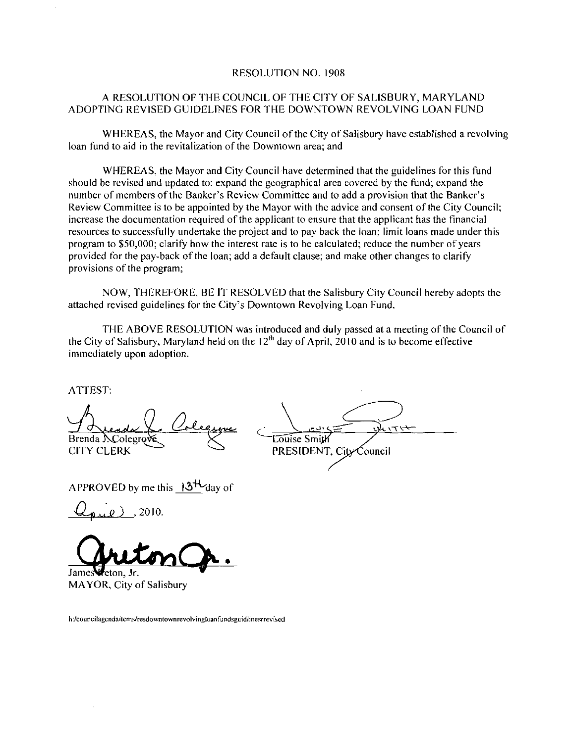#### RESOLUTION NO. 1908

#### A RESOLUTION OF THE COUNCIL OF THE CITY OF SALISBURY MARYLAND ADOPTING REVISED GUIDELINES FOR THE DOWNTOWN REVOLVING LOAN FUND

WHEREAS, the Mayor and City Council of the City of Salisbury have established a revolving loan fund to aid in the revitalization of the Downtown area: and

WHEREAS the Mayor and City Council have determined that the guidelines for this fund should be revised and updated to: expand the geographical area covered by the fund; expand the number of members of the Banker's Review Committee and to add a provision that the Banker's WHEREAS, the Mayor and City Council of the City of Salisbury have established a revolvir<br>loan fund to aid in the revitalization of the Downtown area; and<br>WHEREAS, the Mayor and City Council have determined that the guideli increase the documentation required of the applicant to ensure that the applicant has the financial resources to successfully undertake the project and to pay back the loan; limit loans made under this program to \$50,000; clarify how the interest rate is to be calculated; reduce the number of years provided for the pay-back of the loan; add a default clause; and make other changes to clarify provisions of the program;

NOW THEREFORE BE IT RESOLVED that the Salisbury City Council hereby adopts the attached revised guidelines for the City's Downtown Revolving Loan Fund.

THE ABOVE RESOLUTION was introduced and duly passed at a meeting of the Council of the City of Salisbury, Maryland held on the  $12<sup>th</sup>$  day of April, 2010 and is to become effective immediately upon adoption program to \$50,000; clarify how the interest rate is to be calculated provided for the pay-back of the loan; add a default clause; and morovisions of the program;<br>provisions of the program;<br>NOW, THEREFORE, BE IT RESOLVED

ATTEST

Brenda NColegrov Ooleg ATTEST:<br>Andread Colegrove ATTEST:<br>Brenda S.Colegrove Colegrove<br>CITY CLERK<br>APPROVED by me this 13<sup>H</sup> day of<br> $Q_{pul}$ , 2010.

Z2010

Jeton Jr. MAYOR, City of Salisbury

h:/councilagendaitems/resdowntownrevolvingloanfundsguidlinesrrevised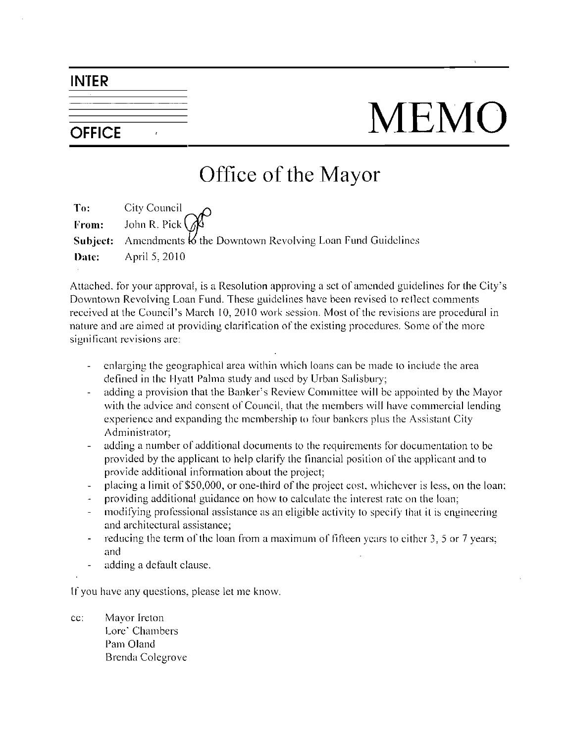#### INTER

# OFFICE MEMO

## Office of the Mayor

| To: City Council<br>From: John R. Pick $\mathbb{Q}^{\circ}$                  |
|------------------------------------------------------------------------------|
| <b>Subject:</b> Amendments $\&i$ the Downtown Revolving Loan Fund Guidelines |
| <b>Date:</b> April 5, 2010                                                   |

Date: April 5, 2010<br>Attached, for your approval, is a Resolution approving a set of amended guidelines for the City's<br>Downtown Revolving Loan Fund. These guidelines have been revised to reflect comments<br>received at the Cou Downtown Revolving Loan Fund. These guidelines have been revised to reflect comments nature and are aimed at providing clarification of the existing procedures. Some of the more significant revisions are: bown Revolving Loan Fund. These guidelines have been revised<br>d at the Council's March 10, 2010 work session. Most of the re<br>and are aimed at providing clarification of the existing procedu<br>ant revisions are:<br>enlarging the

- enlarging the geographical area within which loans can be made to include the area
- defined in the Hyatt Palma study and used by Urban Salisbury;<br>adding a provision that the Banker's Review Committee will be appointed by the Mayor  $\omega_{\rm c}$ with the advice and consent of Council, that the members will have commercial lending experience and expanding the membership to four bankers plus the Assistant City Administrator:
- adding a number of additional documents to the requirements for documentation to be provided by the applicant to help clarify the Financial position of the applicant and to provide additional information about the project
- placing a limit of \$50,000, or one-third of the project cost, whichever is less, on the loan;
- providing additional guidance on how to calculate the interest rate on the loan
- modifying professional assistance as an eligible activity to specify that it is engineering and architectural assistance
- reducing the term of the loan from a maximum of fifteen years to either 3, 5 or 7 years;  $\overline{a}$ and
- adding a default clause

If you have any questions, please let me know.<br>
cc: Mayor Ireton<br>
I ore' Chambers

Lore' Chambers Pam Oland Brenda Colegrove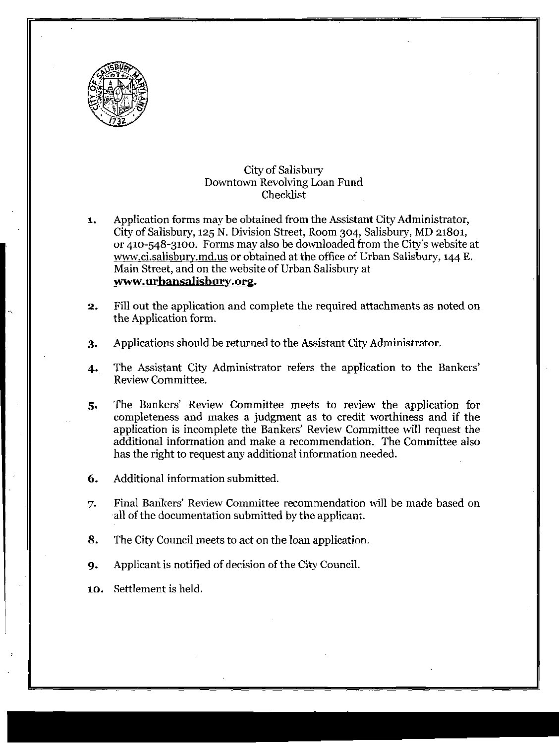

#### City of Salisbury Downtown Revolving Loan Fund Checklist

- connect Tevening 2001 Fanc<br>Checklist<br>City Administrator, City of Salisbury, 125 N. Division Street, Room 304, Salisbury, MD 21801, City of Salisbury, 125 N. Division Street, Room 304, Salisbury, MD 21801,<br>or 410-548-3100. Forms may also be downloaded from the City's website at Application forms may be obtained from the Assistant City Administrator,<br>City of Salisbury, 125 N. Division Street, Room 304, Salisbury, MD 21801,<br>pr 410-548-3100. Forms may also be downloaded from the City's website at<br><u>w</u> www.ci.salisbury.md.us or obtained at the office of Urban Salisbury, 144 E. or 410-548-3100. Forms<br>w<u>ww.ci.salisbury.md.us</u> o<br>Main Street, and on the w<br><mark>www.urbansalisbury.</mark> Street, and on the website of Urban Salisbury at www.urbansalisbury.org.
- **2.** Fill out the application and complete the required attachments as noted on the Application form.
- 3. Applications should be returned to the Assistant City Administrator.
- 4. The Assistant City Administrator refers the application to the Bankers' Review Committee.
- 5. The Bankers' Review Committee meets to review the application for completeness and makes a judgment as to credit worthiness and if the application is incomplete the Bankers' Review Committee will request the additional information and make a recommendation. The Committee also has the right to request any additional information needed.
- 6. Additional information submitted.
- Final Bankers' Review Committee recommendation will be made based on all of the documentation submitted by the applicant. 7.
- 8. The City Council meets to act on the loan application.
- 9. Applicant is notified of decision of the City Council.
- 10. Settlement is held.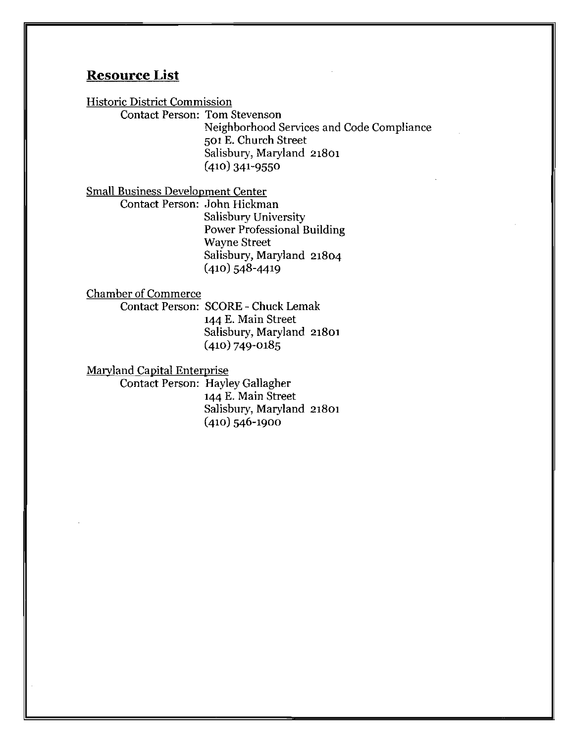#### Resource List

Historic District Commission

Contact Person: Tom Stevenson

Neighborhood Services and Code Compliance 501 E. Church Street Salisbury, Maryland 21801 501 E. Church S<br>Salisbury, Mary<br>(410) 341-9550

Small Business Development Center

Contact Person: John Hickman Salisbury University Power Professional Building Wayne Street Salisbury, Maryland 21804 Wayne Street<br>Salisbury, Mary<br>(410) 548-4419

Chamber of Commerce

Contact Person: SCORE - Chuck Lemak 144 E. Main Street Salisbury, Maryland 21801 144 E. Main Str<br>Salisbury, Mary<br>(410) 749-0185

Maryland Capital Enterprise

Contact Person: Hayley Gallagher 144 E. Main Street Salisbury, Maryland 21801<br>(410) 546-1900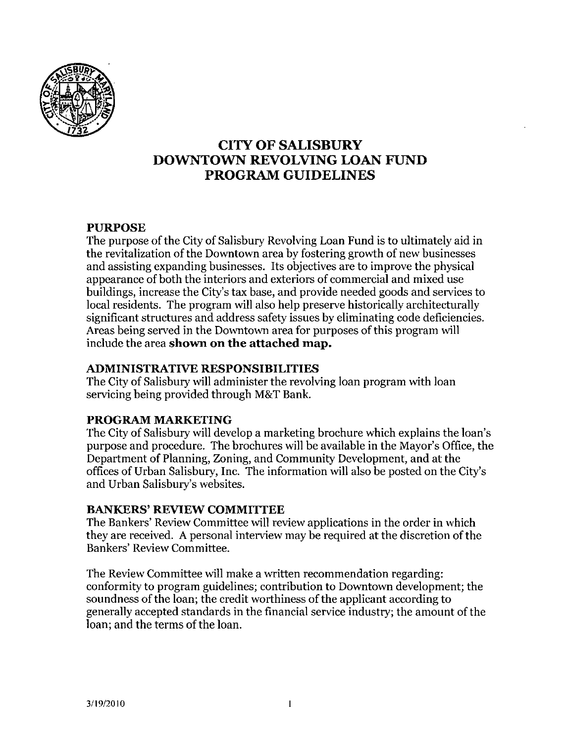

#### CITY OF SALISBURY DOWNTOWN REVOLVING LOAN FUND PROGRAM GUIDELINES

#### PURPOSE

The purpose of the City of Salisbury Revolving Loan Fund is to ultimately aid in the revitalization of the Downtown area by fostering growth of new businesses and assisting expanding businesses. Its objectives are to improve the physical appearance of both the interiors and exteriors of commercial and mixed use buildings, increase the City's tax base, and provide needed goods and services to local residents. The program will also help preserve historically architecturally significant structures and address safety issues by eliminating code deficiencies Areas being served in the Downtown area for purposes of this program will include the area shown on the attached map.

#### ADMINISTRATIVE RESPONSIBILITIES

The City of Salisbury will administer the revolving loan program with loan ADMINISTRATIVE RESPONSIBILITIE<br>The City of Salisbury will administer the revor<br>servicing being provided through M&T Bank

#### PROGRAM MARKETING

servicing being provided through M&T Bank.<br> **PROGRAM MARKETING**<br>
The City of Salisbury will develop a marketing brochure which explains the loan's<br>
purpose and procedure. The brochures will be available in the Mayor's Offi Department of Planning, Zoning, and Community Development, and at the offices of Urban Salisbury, Inc. The information will also be posted on the City's purpose and procedure. The brochures will be available in the Mayor's Office, the Department of Planning, Zoning, and Community Development, and at the offices of Urban Salisbury, Inc. The information will also be posted o **PROGRAM MARKETING**<br>The City of Salisbury will develo<br>purpose and procedure. The br<br>Department of Planning, Zonin<br>offices of Urban Salisbury, Inc.<br>and Urban Salisbury's websites<br>**BANKERS' REVIEW COMM** 

#### BANKERS' REVIEW COMMITTEE

The Bankers' Review Committee will review applications in the order in which they are received. A personal interview may be required at the discretion of the Bankers' Review Committee.

The Review Committee will make a written recommendation regarding: conformity to program guidelines; contribution to Downtown development; the soundness of the loan; the credit worthiness of the applicant according to generally accepted standards in the financial service industry the amount of the loan: and the terms of the loan.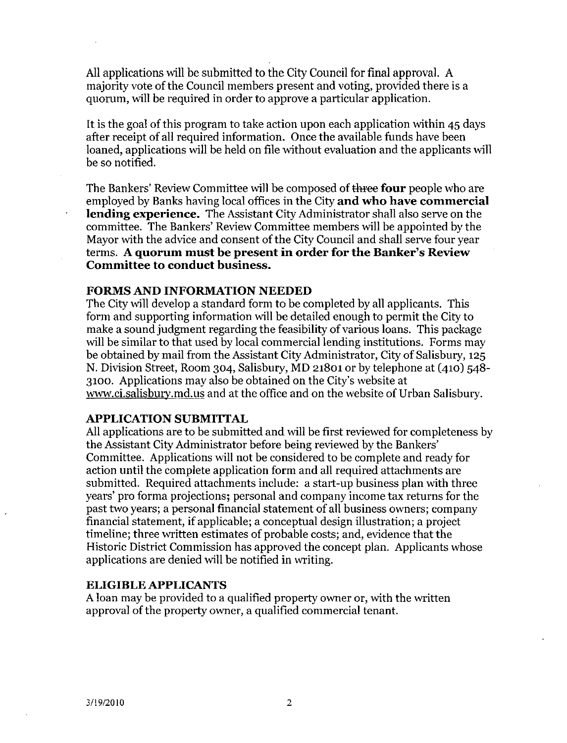All applications will be submitted to the City Council for final approval. A majority vote of the Council members present and voting, provided there is a quorum, will be required in order to approve a particular application.

It is the goal of this program to take action upon each application within 45 days after receipt of all required information. Once the available funds have been loaned, applications will be held on file without evaluation and the applicants will be so notified.

The Bankers' Review Committee will be composed of three four people who are employed by Banks having local offices in the City **and who have commercia** lending experience. The Assistant City Administrator shall also serve employed by Banks having local offices in the City and who have commercial lending experience. The Assistant City Administrator shall also serve on the committee. The Bankers' Review Committee members will be appointed by the Mayor with the advice and consent of the City Council and shall serve four year<br>terms. A quorum must be present in order for the Banker's Review Committee to conduct business.

#### FORMS AND INFORMATION NEEDED

The City will develop a standard form to be completed by all applicants. This form and supporting information will be detailed enough to permit the City to make a sound judgment regarding the feasibility of various loans. This package will be similar to that used by local commercial lending institutions. Forms may will be similat to that used by local commercial lending institutions. Forms may<br>be obtained by mail from the Assistant City Administrator, City of Salisbury, 125<br>N. Division Street, Room 304, Salisbury, MD 21801 or by tel N. Division Street, Room 304, Salisbury, MD 21801 or by telephone at (410) 548-3100. Applications may also be obtained on the City's website at form and supporting information will be detailed enough to permit the City to make a sound judgment regarding the feasibility of various loans. This package will be similar to that used by local commercial lending institut

#### APPLICATION SUBMITTAL

All applications are tobe submitted and will be first reviewed for completeness by the Assistant City Administrator before being reviewed by the Bankers Committee. Applications will not be considered to be complete and ready for action until the complete application form and all required attachments are submitted. Required attachments include: a start-up business plan with three years' pro forma projections; personal and company income tax returns for the past two years; a personal financial statement of all business owners; company financial statement, if applicable; a conceptual design illustration; a project timeline; three written estimates of probable costs; and, evidence that the Historic District Commission has approved the concept plan. Applicants whose applications are denied will be notified in writing.

#### ELIGIBLE APPLICANTS

A loan may be provided to a qualified property owner or, with the written approval of the property owner, a qualified commercial tenant.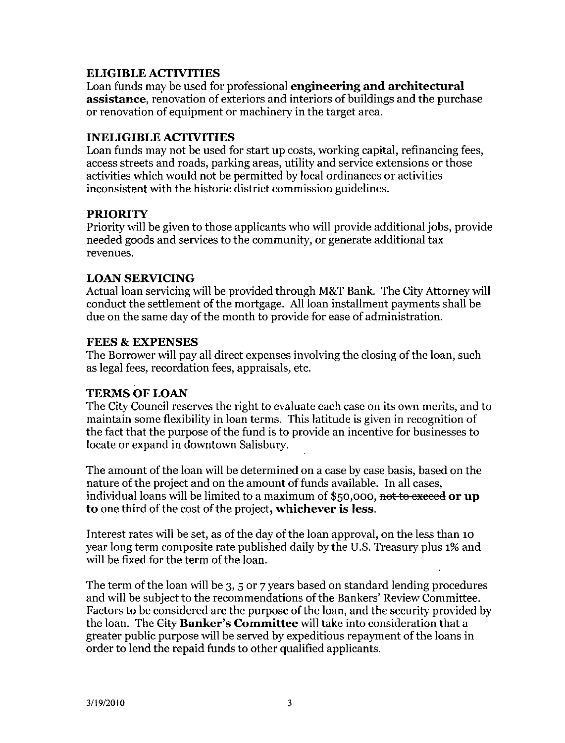#### ELIGIBLE ACTIVITIES

Loan funds may be used for professional **engineering and architectural assistance**, renovation of exteriors and interiors of buildings and the purchase or renovation of equipment or machinery in the target area.

#### INELIGIBLEACTIVITIES

Loan funds may not be used for start up costs, working capital, refinancing fees, access streets and roads, parking areas, utility and service extensions or those activities which would not be permitted by local ordinances or activities inconsistent with the historic district commission guidelines

#### PRIORITY

Priority will be given to those applicants who will provide additional jobs, provide needed goods and services to the community or generate additional tax revenues

#### LOAN SERVICING

Actual loan servicing will be provided through M&T Bank. The City Attorney will conduct the settlement of the mortgage All loan installment payments shall be due on the same day of the month to provide for ease of administration.

#### **FEES & EXPENSES**

The Borrower will pay all direct expenses involving the closing of the loan, such as legal fees, recordation fees, appraisals, etc.

#### TERMS OF LOAN

The City Council reserves the right to evaluate each case on its own merits, and to maintain some flexibility in loan terms. This latitude is given in recognition of the fact that the purpose of the fund is to provide an incentive for businesses to locate or expand in downtown Salisbury

The amount of the loan will be determined on a case by case basis, based on the nature of the project and on the amount of funds available. In all cases, I he amount of the loan will be determined on a case by case basis, based on the nature of the project and on the amount of funds available. In all cases, individual loans will be limited to a maximum of \$50,000, <del>not to e</del> to one third of the cost of the project, whichever is less.

Interest rates will be set, as of the day of the loan approval, on the less than 10 year long term composite rate published daily by the U.S. Treasury plus 1% and will be fixed for the term of the loan.

The term of the loan will be 3, 5 or 7 years based on standard lending procedures and will be subject to the recommendations of the Bankers' Review Committee. Factors to be considered are the purpose of the loan, and the security provided by the loan. The City Banker's Committee will take into consideration that a will be fixed for the term of the loan.<br>The term of the loan will be  $3, 5$  or 7 years based on standard lending procedured and will be subject to the recommendations of the Bankers' Review Committee Factors to be conside greater public purpose will be served by expeditious repayment ofthe loans in order to lend the repaid funds to other qualified applicants.<br>
3/19/2010<br>
3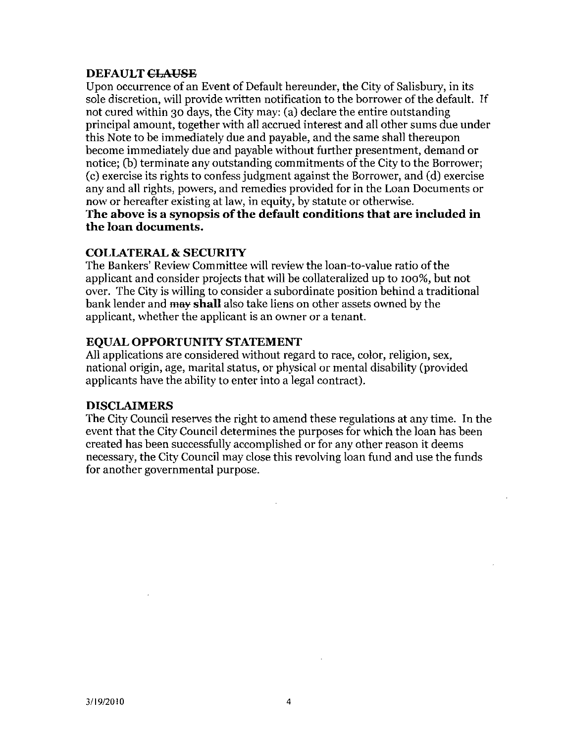#### **DEFAULT CLAUSE**

Upon occurrence of an Event of Default hereunder the City of Salisbury in its sole discretion, will provide written notification to the borrower of the default. If not cured within 30 days, the City may: (a) declare the entire outstanding principal amount, together with all accrued interest and all other sums due under this Note to be immediately due and payable, and the same shall thereupon become immediately due and payable without further presentment, demand or notice:  $(b)$  terminate any outstanding commitments of the City to the Borrower;  $(c)$  exercise its rights to confess judgment against the Borrower, and  $(d)$  exercise any and all rights, powers, and remedies provided for in the Loan Documents or now or hereafter existing at law, in equity, by statute or otherwise. the loan documents

#### COLLATERAL SECURITY

now or nerearter existing at law, in equity, by statute or otherwise.<br>The above is a synopsis of the default conditions that are included in<br>the loan documents.<br>COLLATERAL & SECURITY<br>The Bankers' Review Committee will revi The Bankers' Review Committee will review the loan-to-value ratio of the applicant and consider projects that will be collateralized up to 100%, but not over. The City is willing to consider a subordinate position behind a traditional bank lender and may shall also take liens on other assets owned by the applicant, whether the applicant is an owner or a tenant. applicant and consider projects that will be collateralized<br>over. The City is willing to consider a subordinate position<br>hank lender and may shall also take liens on other asset<br>applicant, whether the applicant is an owner

#### EQUAL OPPORTUNITY STATEMENT

All applications are considered without regard to race, color, religion, sex, national origin, age, marital status, or physical or mental disability (provided applicants have the ability to enter into a legal contract

#### DISCLAIMERS

The City Council reserves the right to amend these regulations at any time. In the event that the City Council determines the purposes for which the loan has been created has been successfully accomplished or for any other reason it deems necessary, the City Council may close this revolving loan fund and use the funds for another governmental purpose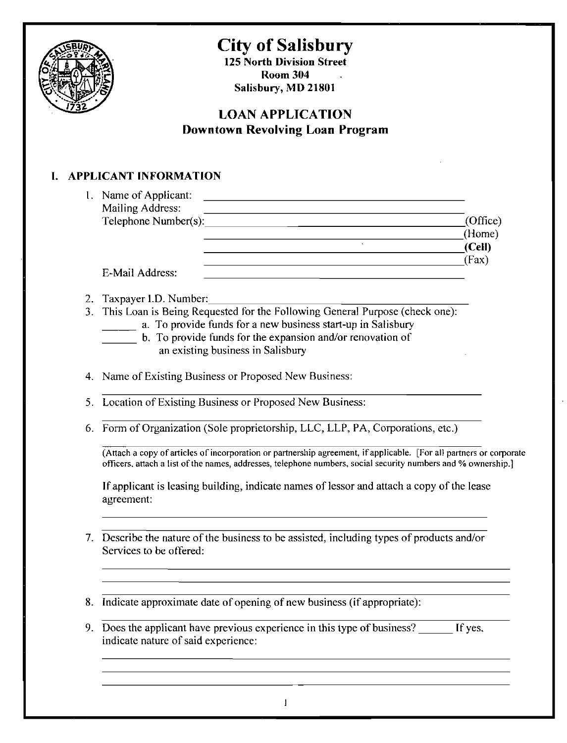

## City of Salisbury

125 North Division Street Room 304  $\mathbb{Z}$ Salisbury, MD 21801

#### LOAN APPLICATION Downtown Revolving Loan Program

### I. APPLICANT INFORMATION

| 1. Name of Applicant:                                                                                                                                                                                                                |          |
|--------------------------------------------------------------------------------------------------------------------------------------------------------------------------------------------------------------------------------------|----------|
| Mailing Address:                                                                                                                                                                                                                     |          |
| Telephone Number(s):<br><u> 1989 - John Stein, Amerikaansk politiker (</u>                                                                                                                                                           | (Office) |
|                                                                                                                                                                                                                                      | (Home)   |
|                                                                                                                                                                                                                                      | (Cell)   |
|                                                                                                                                                                                                                                      | (Fax)    |
| E-Mail Address:                                                                                                                                                                                                                      |          |
|                                                                                                                                                                                                                                      |          |
| Taxpayer I.D. Number:<br>This Loan is Being Requested for the Following General Purpose (check one):                                                                                                                                 |          |
| a. To provide funds for a new business start-up in Salisbury                                                                                                                                                                         |          |
| b. To provide funds for the expansion and/or renovation of                                                                                                                                                                           |          |
| an existing business in Salisbury                                                                                                                                                                                                    |          |
|                                                                                                                                                                                                                                      |          |
| Name of Existing Business or Proposed New Business:                                                                                                                                                                                  |          |
| Location of Existing Business or Proposed New Business:                                                                                                                                                                              |          |
| Form of Organization (Sole proprietorship, LLC, LLP, PA, Corporations, etc.)                                                                                                                                                         |          |
| (Attach a copy of articles of incorporation or partnership agreement, if applicable. [For all partners or corporate<br>officers, attach a list of the names, addresses, telephone numbers, social security numbers and % ownership.] |          |
| If applicant is leasing building, indicate names of lessor and attach a copy of the lease<br>agreement:                                                                                                                              |          |
| Describe the nature of the business to be assisted, including types of products and/or                                                                                                                                               |          |
| Services to be offered:                                                                                                                                                                                                              |          |
| Indicate approximate date of opening of new business (if appropriate):                                                                                                                                                               |          |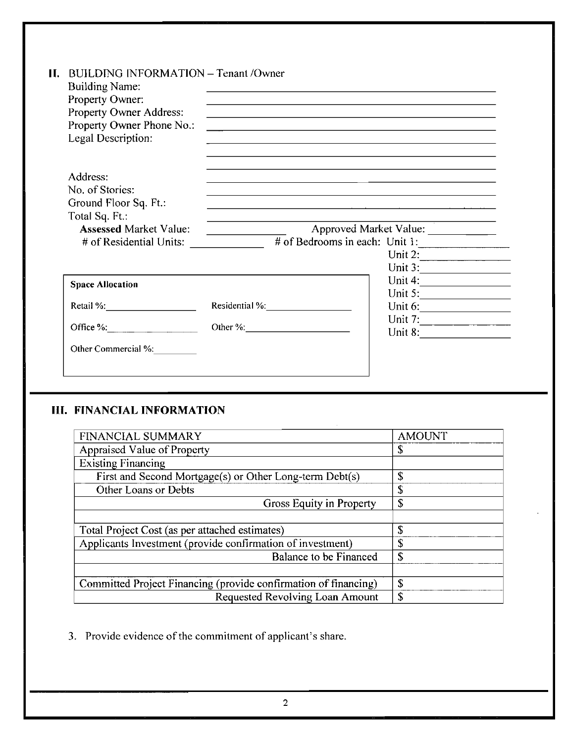| Н. | BUILDING INFORMATION - Tenant /Owner<br><b>Building Name:</b><br>Property Owner:<br>Property Owner Address:<br>Property Owner Phone No.:<br>Legal Description: | <u> 1980 - John Stoff, amerikansk politiker (d. 1980)</u>                 |                                     |
|----|----------------------------------------------------------------------------------------------------------------------------------------------------------------|---------------------------------------------------------------------------|-------------------------------------|
|    | Address:<br>No. of Stories:<br>Ground Floor Sq. Ft.:<br>Total Sq. Ft.:<br><b>Assessed Market Value:</b>                                                        |                                                                           | Approved Market Value:              |
|    | # of Residential Units:                                                                                                                                        | $\frac{1}{2}$ # of Bedrooms in each: Unit 1:                              | Unit 2:<br>Unit 3:                  |
|    | <b>Space Allocation</b><br>Retail %:<br>Office %: $\qquad \qquad$ 0.                                                                                           | Residential %: No. 1998<br>Other %:                                       | Unit 5: $\qquad \qquad$             |
|    | Other Commercial %:                                                                                                                                            |                                                                           |                                     |
|    | <b>III. FINANCIAL INFORMATION</b>                                                                                                                              |                                                                           |                                     |
|    | <b>FINANCIAL SUMMARY</b>                                                                                                                                       | Appraised Value of Property<br>Management Separation Contract of Property | <b>AMOUNT</b><br>$\mathbf{\hat{S}}$ |
|    | <b>Existing Financing</b>                                                                                                                                      | First and Second Mortgage(s) or Other Long-term Debt(s)                   | $\mathbf{\hat{S}}$                  |

#### III. FINANCIAL INFORMATION

| <b>FINANCIAL INFORMATION</b>                                    |               |
|-----------------------------------------------------------------|---------------|
| <b>FINANCIAL SUMMARY</b>                                        | <b>AMOUNT</b> |
| Appraised Value of Property                                     | \$            |
| <b>Existing Financing</b>                                       |               |
| First and Second Mortgage(s) or Other Long-term Debt(s)         | \$            |
| Other Loans or Debts                                            | \$            |
| Gross Equity in Property                                        | \$            |
|                                                                 |               |
| Total Project Cost (as per attached estimates)                  | \$            |
| Applicants Investment (provide confirmation of investment)      | \$            |
| Balance to be Financed                                          | \$            |
|                                                                 |               |
| Committed Project Financing (provide confirmation of financing) | $\mathbf S$   |
| Requested Revolving Loan Amount                                 | \$            |

3. Provide evidence of the commitment of applicant's share.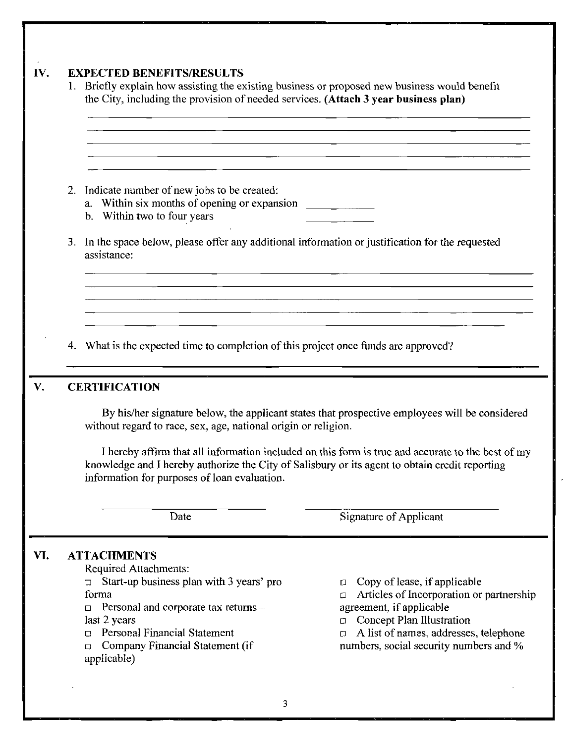#### **1V.** EXPECTED BENEFITS/RESULTS

| 2. | Indicate number of new jobs to be created:<br>b. Within two to four years                                                                                                                                                                                                                                                                                                                                               |                                                                                                   |  |  |  |  |
|----|-------------------------------------------------------------------------------------------------------------------------------------------------------------------------------------------------------------------------------------------------------------------------------------------------------------------------------------------------------------------------------------------------------------------------|---------------------------------------------------------------------------------------------------|--|--|--|--|
|    | assistance:                                                                                                                                                                                                                                                                                                                                                                                                             | 3. In the space below, please offer any additional information or justification for the requested |  |  |  |  |
|    |                                                                                                                                                                                                                                                                                                                                                                                                                         |                                                                                                   |  |  |  |  |
|    |                                                                                                                                                                                                                                                                                                                                                                                                                         |                                                                                                   |  |  |  |  |
|    |                                                                                                                                                                                                                                                                                                                                                                                                                         |                                                                                                   |  |  |  |  |
|    |                                                                                                                                                                                                                                                                                                                                                                                                                         |                                                                                                   |  |  |  |  |
|    | What is the expected time to completion of this project once funds are approved?                                                                                                                                                                                                                                                                                                                                        |                                                                                                   |  |  |  |  |
| 4. |                                                                                                                                                                                                                                                                                                                                                                                                                         |                                                                                                   |  |  |  |  |
|    |                                                                                                                                                                                                                                                                                                                                                                                                                         |                                                                                                   |  |  |  |  |
|    | <b>CERTIFICATION</b>                                                                                                                                                                                                                                                                                                                                                                                                    |                                                                                                   |  |  |  |  |
|    | By his/her signature below, the applicant states that prospective employees will be considered<br>without regard to race, sex, age, national origin or religion.<br>I hereby affirm that all information included on this form is true and accurate to the best of my<br>knowledge and I hereby authorize the City of Salisbury or its agent to obtain credit reporting<br>information for purposes of loan evaluation. |                                                                                                   |  |  |  |  |
|    | Date                                                                                                                                                                                                                                                                                                                                                                                                                    | Signature of Applicant                                                                            |  |  |  |  |
|    |                                                                                                                                                                                                                                                                                                                                                                                                                         |                                                                                                   |  |  |  |  |
|    | <b>ATTACHMENTS</b>                                                                                                                                                                                                                                                                                                                                                                                                      |                                                                                                   |  |  |  |  |
|    | Required Attachments:                                                                                                                                                                                                                                                                                                                                                                                                   |                                                                                                   |  |  |  |  |
|    | Start-up business plan with 3 years' pro<br>$\Box$<br>forma                                                                                                                                                                                                                                                                                                                                                             | Copy of lease, if applicable<br>0<br>◘                                                            |  |  |  |  |
|    | Personal and corporate tax returns -<br>α                                                                                                                                                                                                                                                                                                                                                                               | Articles of Incorporation or partnership<br>agreement, if applicable                              |  |  |  |  |
|    | last 2 years                                                                                                                                                                                                                                                                                                                                                                                                            | Concept Plan Illustration<br>0                                                                    |  |  |  |  |
|    | <b>Personal Financial Statement</b><br>П.<br>Company Financial Statement (if<br>□                                                                                                                                                                                                                                                                                                                                       | A list of names, addresses, telephone<br>Ω.<br>numbers, social security numbers and %             |  |  |  |  |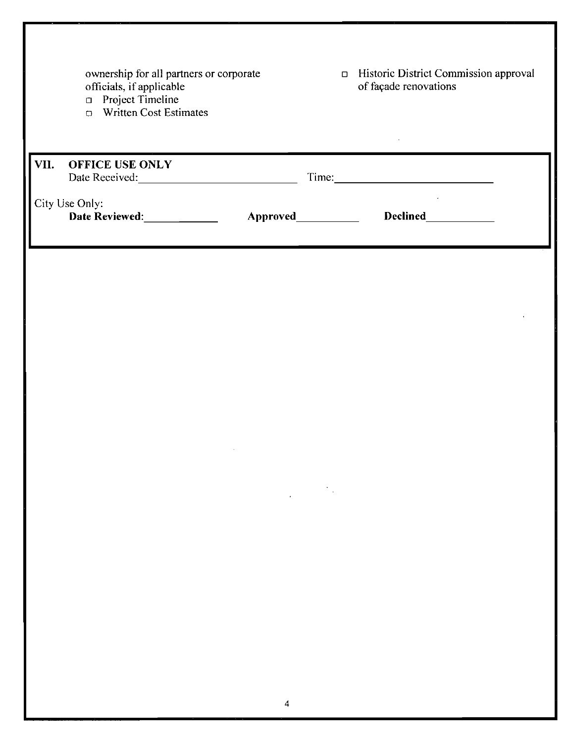|      | ownership for all partners or corporate<br>officials, if applicable<br>□ Project Timeline<br><b>D</b> Written Cost Estimates |                      |                                                                                                                                                                                                                   | <b>D</b> Historic District Commission approval<br>of façade renovations |  |
|------|------------------------------------------------------------------------------------------------------------------------------|----------------------|-------------------------------------------------------------------------------------------------------------------------------------------------------------------------------------------------------------------|-------------------------------------------------------------------------|--|
| VII. | OFFICE USE ONLY<br>Date Received:<br><u>Date Received:</u>                                                                   |                      |                                                                                                                                                                                                                   |                                                                         |  |
|      | City Use Only:<br>Date Reviewed: ____________                                                                                | Approved____________ |                                                                                                                                                                                                                   | Declined____________                                                    |  |
|      |                                                                                                                              |                      |                                                                                                                                                                                                                   |                                                                         |  |
|      |                                                                                                                              |                      |                                                                                                                                                                                                                   |                                                                         |  |
|      |                                                                                                                              |                      |                                                                                                                                                                                                                   |                                                                         |  |
|      |                                                                                                                              |                      |                                                                                                                                                                                                                   |                                                                         |  |
|      |                                                                                                                              |                      | $\label{eq:2.1} \frac{1}{\sqrt{2}}\int_{\mathbb{R}^3} \frac{1}{\sqrt{2}}\left(\frac{1}{\sqrt{2}}\right)^2\frac{1}{\sqrt{2}}\left(\frac{1}{\sqrt{2}}\right)^2\frac{1}{\sqrt{2}}\left(\frac{1}{\sqrt{2}}\right)^2.$ |                                                                         |  |
|      |                                                                                                                              |                      |                                                                                                                                                                                                                   |                                                                         |  |
|      |                                                                                                                              |                      |                                                                                                                                                                                                                   |                                                                         |  |
|      |                                                                                                                              |                      |                                                                                                                                                                                                                   |                                                                         |  |
|      |                                                                                                                              | 4                    |                                                                                                                                                                                                                   |                                                                         |  |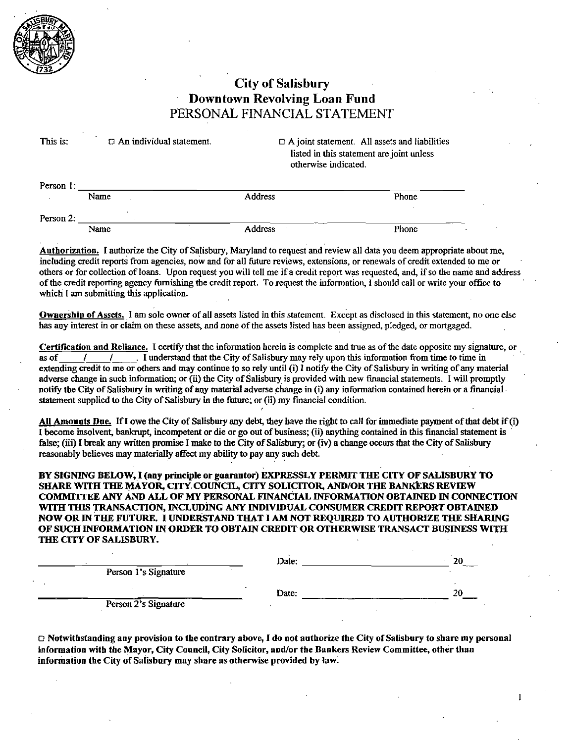

#### **City of Salisbury** Downtown Revolving Loan Fund PERSONAL FINANCIAL STATEMENT

| This is:  | $\Box$ An individual statement. | $\Box$ A joint statement. All assets and liabilities<br>listed in this statement are joint unless<br>otherwise indicated. |       |  |
|-----------|---------------------------------|---------------------------------------------------------------------------------------------------------------------------|-------|--|
| Person 1: |                                 |                                                                                                                           |       |  |
|           | Name                            | <b>Address</b>                                                                                                            | Phone |  |

Person 2: **Address** Phone Name

Authorization. I authorize the City of Salisbury, Maryland to request and review all data you deem appropriate about me, including credit reports from agencies, now and for all future reviews, extensions, or renewals of credit extended to me or others or for collection of loans Upon request you will tell me if <sup>a</sup> credit report was requested and ifso the name and address of the credit reporting agency furnishing the credit report To request the information l should call or write your office to which I am submitting this application.

Ownership of Assets. I am sole owner of all assets listed in this statement. Except as disclosed in this statement, no one else has any interest in or claim on these assets, and none of the assets listed has been assigned, pledged, or mortgaged.

Cert cationand Reliance Icertify thatthe information herein is complete and true as of the date opposite my signature or  $\overline{1}$  understand that the City of Salisbury may rely upon this information from time to time in The state of the state of claim on these assess, and none of the assets itset<br>Certification and Reliance. I certify that the information herein is c<br>as of  $\frac{1}{\sqrt{1-\mu}}$ . I understand that the City of Salisbury ma<br>extendi extending credit to me or others and may continue to so rely until (i) I notify the City of Salisbury in writing of any material adverse change in such information; or (ii) the City of Salisbury is provided with new financ **Let the City of Salisbury in and the City of Salisbury** may rely upon this information from time to time in extending credit to me or others and may continue to so rely until (i) I notify the City of Salisbury in writing adverse change in such information; or (ii) the City of Salisbury is provided with new financial statements. I will promptly notify the City of Salisbury in writing of any material adverse change in (i) any information co

All Amounts Due. If I owe the City of Salisbury any debt, they have the right to call for immediate payment of that debt if  $(i)$ I become insolvent, bankrupt, incompetent or die or go out of business; (ii) anything contained in this financial statement is false; (iii) I break any written promise I make to the City of Salisbury; or (iv) a change occurs that the City of Salisbury reasonably believes may materially affect my ability to pay any such debt

BY SIGNING BELOW, I (any principle or guarantor) EXPRESSLY PERMIT THE CITY OF SALISBURY TO<br>SHARE WITH THE MAYOR, CITY COUNCIL, CITY SOLICITOR, AND/OR THE BANKERS REVIEW COMMITTEE ANY AND ALL OF MY PERSONAL FINANCIAL INFORMATION OBTAINED IN CONNECTION WITH THISTRANSACTION INCLUDING ANY INDIVIDUAL CONSUMER CREDIT REPORT OBTAINED NOW OR IN THE FUTURE. I UNDERSTAND THAT I AM NOT REQUIRED TO AUTHORIZE THE SHARING OFSUCH INFORMATION IN ORDER TO OBTAIN CREDIT OR OTHERWISE TRANSACT BUSINESS WITH THE CITY OF SALISBURY.

|                      | Date: | 20 |
|----------------------|-------|----|
| Person 1's Signature |       |    |
|                      |       |    |
|                      | Date: | 20 |
| Person 2's Signature |       |    |

I Notwithstanding any provision to the contrary above, I do not authorize the City of Salisbury to share my personal<br>information with the Mayor, City Council, City Solicitor, and/or the Bankers Review Committee, other than information the City of Salisbury may share as otherwise provided by law.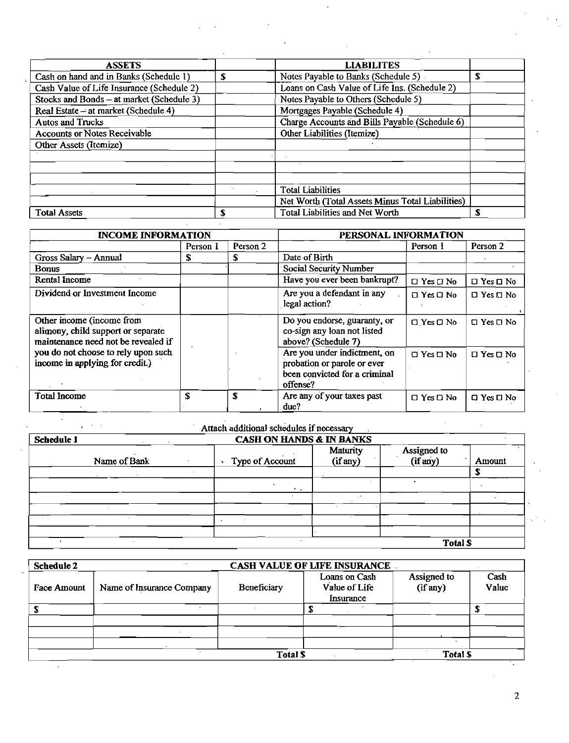| <b>ASSETS</b>                             |   | <b>LIABILITES</b>                                |    |
|-------------------------------------------|---|--------------------------------------------------|----|
| Cash on hand and in Banks (Schedule 1)    | S | Notes Payable to Banks (Schedule 5)              | £. |
| Cash Value of Life Insurance (Schedule 2) |   | Loans on Cash Value of Life Ins. (Schedule 2)    |    |
| Stocks and Bonds - at market (Schedule 3) |   | Notes Payable to Others (Schedule 5)             |    |
| Real Estate - at market (Schedule 4)      |   | Mortgages Payable (Schedule 4)                   |    |
| <b>Autos and Trucks</b>                   |   | Charge Accounts and Bills Payable (Schedule 6)   |    |
| <b>Accounts or Notes Receivable</b>       |   | Other Liabilities (Itemize)                      |    |
| Other Assets (Itemize)                    |   |                                                  |    |
|                                           |   |                                                  |    |
|                                           |   |                                                  |    |
|                                           |   |                                                  |    |
|                                           |   | Total Liabilities                                |    |
|                                           |   | Net Worth (Total Assets Minus Total Liabilities) |    |
| <b>Total Assets</b>                       |   | Total Liabilities and Net Worth                  | £  |

| <b>INCOME INFORMATION</b>                                                                              |          |                     | PERSONAL INFORMATION                                                                                     |                      |                            |
|--------------------------------------------------------------------------------------------------------|----------|---------------------|----------------------------------------------------------------------------------------------------------|----------------------|----------------------------|
|                                                                                                        | Person 1 | Person <sub>2</sub> |                                                                                                          | Person 1             | Person 2                   |
| Gross Salary - Annual                                                                                  | S.       | S                   | Date of Birth                                                                                            |                      |                            |
| <b>Bonus</b>                                                                                           |          |                     | <b>Social Security Number</b>                                                                            |                      |                            |
| Rental Income                                                                                          |          |                     | Have you ever been bankrupt?                                                                             | $\Box$ Yes $\Box$ No | $\square$ Yes $\square$ No |
| Dividend or Investment Income                                                                          |          |                     | Are you a defendant in any<br>legal action?                                                              | $\Box$ Yes $\Box$ No | $\Box$ Yes $\Box$ No       |
| Other income (income from<br>alimony, child support or separate<br>maintenance need not be revealed if |          |                     | Do you endorse, guaranty, or<br>co-sign any loan not listed<br>above? (Schedule 7)                       | $\Box$ Yes $\Box$ No | $\square$ Yes $\square$ No |
| you do not choose to rely upon such<br>income in applying for credit.)                                 |          |                     | Are you under indictment, on<br>probation or parole or ever<br>been convicted for a criminal<br>offense? | $\Box$ Yes $\Box$ No | $\Box$ Yes $\Box$ No       |
| <b>Total Income</b>                                                                                    | S        | S                   | Are any of your taxes past<br>due?                                                                       | $\Box$ Yes $\Box$ No | $\Box$ Yes $\Box$ No       |

| Schedule 1   |                 | Attach additional schedules if necessary<br><b>CASH ON HANDS &amp; IN BANKS</b> |                         |        |  |  |
|--------------|-----------------|---------------------------------------------------------------------------------|-------------------------|--------|--|--|
| Name of Bank | Type of Account | Maturity<br>(if any)                                                            | Assigned to<br>(if any) | Amount |  |  |
|              |                 |                                                                                 |                         |        |  |  |
|              |                 | $\mathcal{L}$                                                                   |                         |        |  |  |
|              |                 |                                                                                 |                         |        |  |  |
|              |                 |                                                                                 |                         |        |  |  |
|              |                 |                                                                                 |                         |        |  |  |
|              |                 |                                                                                 |                         |        |  |  |

| rance |              |  |
|-------|--------------|--|
| ' ach | A ssioned to |  |

| CASH VALUE OF LIFE INSURANCE<br>Schedule 2 |                           |             |                                             |                         |               |  |
|--------------------------------------------|---------------------------|-------------|---------------------------------------------|-------------------------|---------------|--|
| <b>Face Amount</b>                         | Name of Insurance Company | Beneficiary | Loans on Cash<br>Value of Life<br>Insurance | Assigned to<br>(if any) | Cash<br>Value |  |
|                                            |                           |             |                                             |                         |               |  |
|                                            |                           |             |                                             |                         |               |  |
|                                            |                           |             |                                             |                         |               |  |
|                                            |                           |             |                                             |                         |               |  |
|                                            |                           | Total \$    |                                             | Total \$                |               |  |

 $\overline{2}$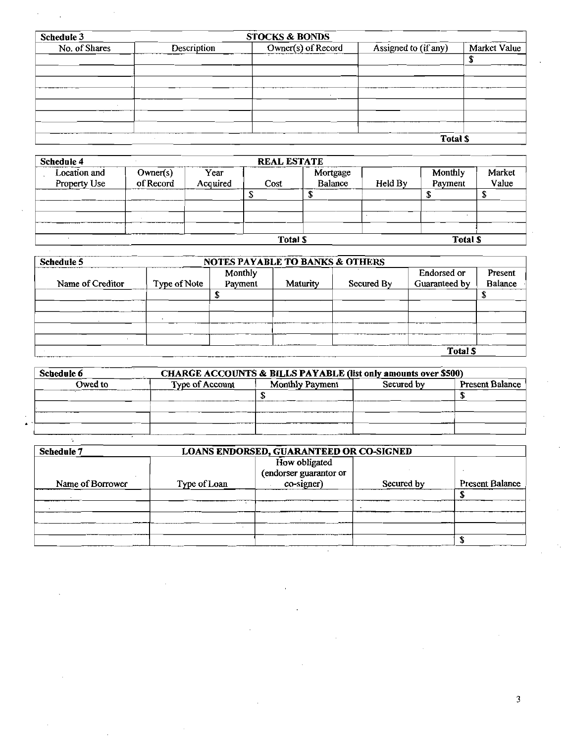| Schedule 3    |                    | <b>STOCKS &amp; BONDS</b> |                      |              |
|---------------|--------------------|---------------------------|----------------------|--------------|
| No. of Shares | <b>Description</b> | Owner(s) of Record        | Assigned to (if any) | Market Value |
|               |                    |                           |                      |              |
|               |                    |                           |                      |              |
|               |                    |                           |                      |              |
|               |                    |                           |                      |              |
|               |                    |                           |                      |              |
|               |                    |                           |                      |              |
|               |                    |                           |                      |              |
|               | $\cdot$            |                           | Tatel C              |              |

|              |           |          |                    |          |         | Total \$       |         |
|--------------|-----------|----------|--------------------|----------|---------|----------------|---------|
| Schedule 4   |           |          | <b>REAL ESTATE</b> |          |         |                |         |
| Location and | Owner(s)  | Year     |                    | Mortgage |         | Monthly        | Market  |
| Property Use | of Record | Acquired | Cost               | Balance  | Held By | Payment        | Value   |
|              |           |          |                    | Φ        |         |                | œ<br>-D |
|              |           |          |                    |          |         | $\mathbf{r}$   |         |
|              |           |          |                    |          |         |                |         |
| $\sim$       |           |          | Total \$           |          |         | <b>Total S</b> |         |

| Schedule 5       | <b>NOTES PAYABLE TO BANKS &amp; OTHERS</b> |                    |          |            |                                     |                    |
|------------------|--------------------------------------------|--------------------|----------|------------|-------------------------------------|--------------------|
| Name of Creditor | Type of Note                               | Monthly<br>Payment | Maturity | Secured By | <b>Endorsed or</b><br>Guaranteed by | Present<br>Balance |
|                  |                                            |                    |          |            |                                     |                    |
|                  |                                            |                    |          |            |                                     |                    |
|                  |                                            |                    |          |            |                                     |                    |
|                  |                                            |                    |          |            |                                     |                    |
|                  |                                            |                    |          |            |                                     |                    |
|                  |                                            |                    |          |            | <b>Total \$</b>                     |                    |

| Schedule 6 | CHARGE ACCOUNTS & BILLS PAYABLE (list only amounts over \$500) |                 |            |                        |  |  |
|------------|----------------------------------------------------------------|-----------------|------------|------------------------|--|--|
| Owed to    | Type of Account                                                | Monthly Payment | Secured by | <b>Present Balance</b> |  |  |
|            |                                                                |                 |            |                        |  |  |
|            |                                                                |                 |            |                        |  |  |
|            |                                                                |                 |            |                        |  |  |
|            |                                                                |                 |            |                        |  |  |

| ۰. |  |
|----|--|
|    |  |

| <b>Schedule 7</b> |              | LOANS ENDORSED, GUARANTEED OR CO-SIGNED               |            |                        |
|-------------------|--------------|-------------------------------------------------------|------------|------------------------|
| Name of Borrower  | Type of Loan | How obligated<br>(endorser guarantor or<br>co-signer) | Secured by | <b>Present Balance</b> |
|                   |              |                                                       |            |                        |
|                   |              |                                                       |            |                        |
|                   |              |                                                       |            |                        |
|                   |              |                                                       |            |                        |
|                   |              |                                                       |            |                        |